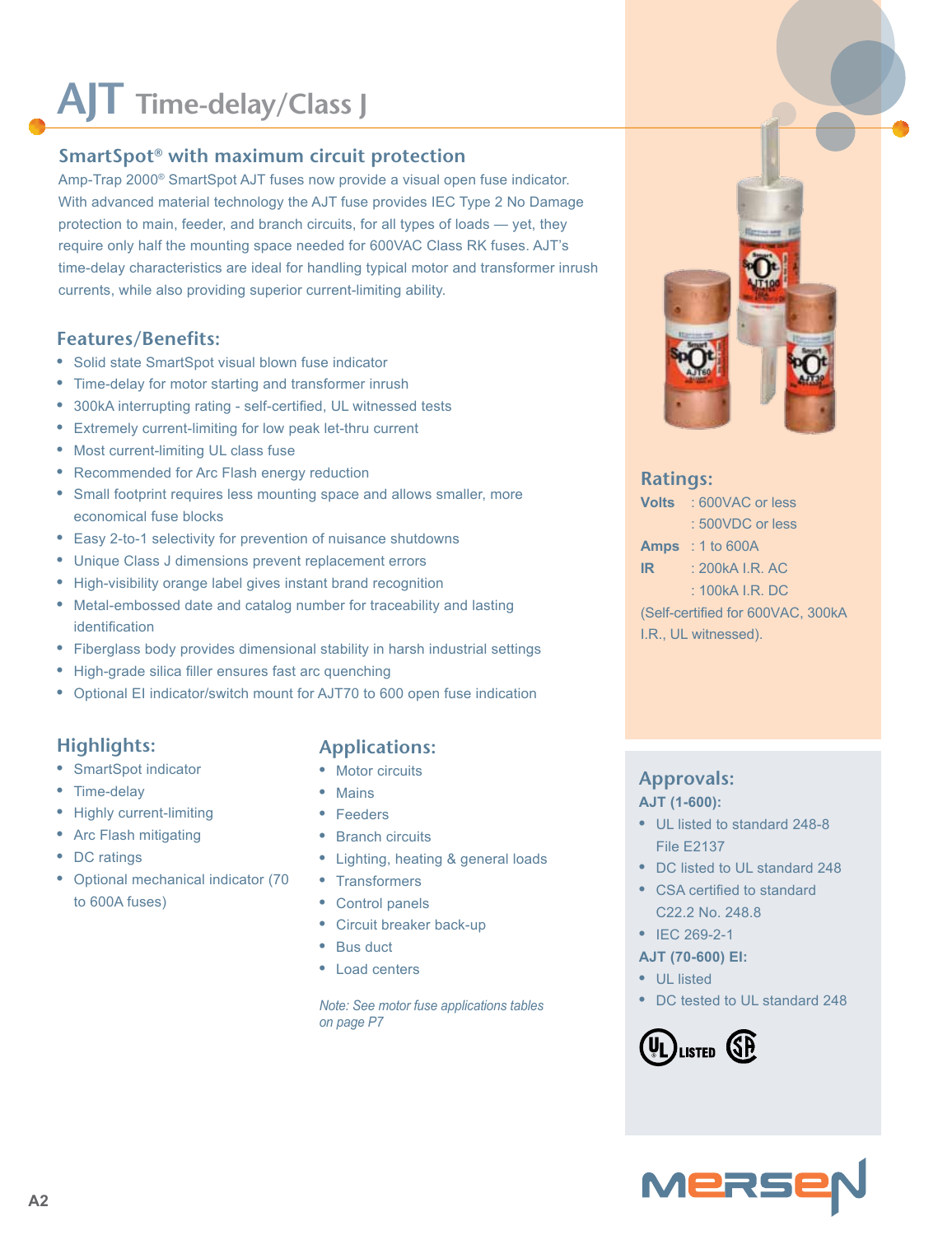# **AJT Time-delay/Class J**

### **SmartSpot® with maximum circuit protection**

Amp-Trap 2000® SmartSpot AJT fuses now provide a visual open fuse indicator. With advanced material technology the AJT fuse provides IEC Type 2 No Damage protection to main, feeder, and branch circuits, for all types of loads — yet, they require only half the mounting space needed for 600VAC Class RK fuses. AJT's time-delay characteristics are ideal for handling typical motor and transformer inrush currents, while also providing superior current-limiting ability.

#### **Features/Benefits:**

- **•** Solid state SmartSpot visual blown fuse indicator
- **•** Time-delay for motor starting and transformer inrush
- **•** 300kA interrupting rating self-certified, UL witnessed tests
- **•** Extremely current-limiting for low peak let-thru current
- **•** Most current-limiting UL class fuse
- **•** Recommended for Arc Flash energy reduction
- **•** Small footprint requires less mounting space and allows smaller, more economical fuse blocks
- **•** Easy 2-to-1 selectivity for prevention of nuisance shutdowns
- **•** Unique Class J dimensions prevent replacement errors
- **•** High-visibility orange label gives instant brand recognition
- **•** Metal-embossed date and catalog number for traceability and lasting identification
- **•** Fiberglass body provides dimensional stability in harsh industrial settings
- **•** High-grade silica filler ensures fast arc quenching
- **•** Optional EI indicator/switch mount for AJT70 to 600 open fuse indication

#### **Highlights:**

- **•** SmartSpot indicator
- **•** Time-delay
- **•** Highly current-limiting
- **•** Arc Flash mitigating
- **•** DC ratings
- **•** Optional mechanical indicator (70 to 600A fuses)

#### **Applications:**

- **•** Motor circuits
- **•** Mains
- **•** Feeders
- **•** Branch circuits
- **•** Lighting, heating & general loads
- **•** Transformers
- **•** Control panels
- **•** Circuit breaker back-up
- **•** Bus duct
- **•** Load centers

*Note: See motor fuse applications tables on page P7*



#### **Ratings:**

**Volts** : 600VAC or less : 500VDC or less **Amps** : 1 to 600A **IR** : 200kA I.R. AC  $\cdot$  100kA I.R. DC. (Self-certified for 600VAC, 300kA I.R., UL witnessed).

#### **Approvals: AJT (1-600):**

- **•** UL listed to standard 248-8 File E2137
- **•** DC listed to UL standard 248
- **•** CSA certified to standard C22.2 No. 248.8
- **•** IEC 269-2-1
- **AJT (70-600) EI:**
- **•** UL listed
- **•** DC tested to UL standard 248